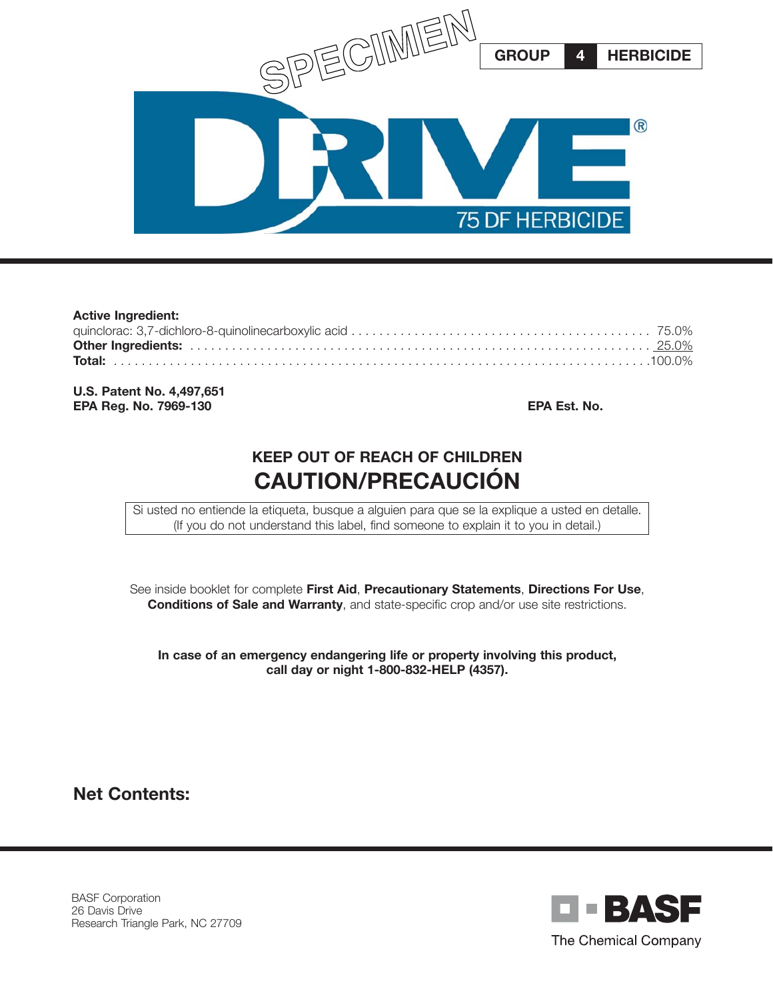

| <b>Active Ingredient:</b> |  |
|---------------------------|--|
|                           |  |
|                           |  |
|                           |  |
|                           |  |

**U.S. Patent No. 4,497,651 EPA Reg. No. 7969-130 EPA Est. No.**

# **KEEP OUT OF REACH OF CHILDREN CAUTION/PRECAUCIÓN**

Si usted no entiende la etiqueta, busque a alguien para que se la explique a usted en detalle. (If you do not understand this label, find someone to explain it to you in detail.)

See inside booklet for complete **First Aid**, **Precautionary Statements**, **Directions For Use**, **Conditions of Sale and Warranty**, and state-specific crop and/or use site restrictions.

**In case of an emergency endangering life or property involving this product, call day or night 1-800-832-HELP (4357).**

**Net Contents:**

BASF Corporation 26 Davis Drive Research Triangle Park, NC 27709

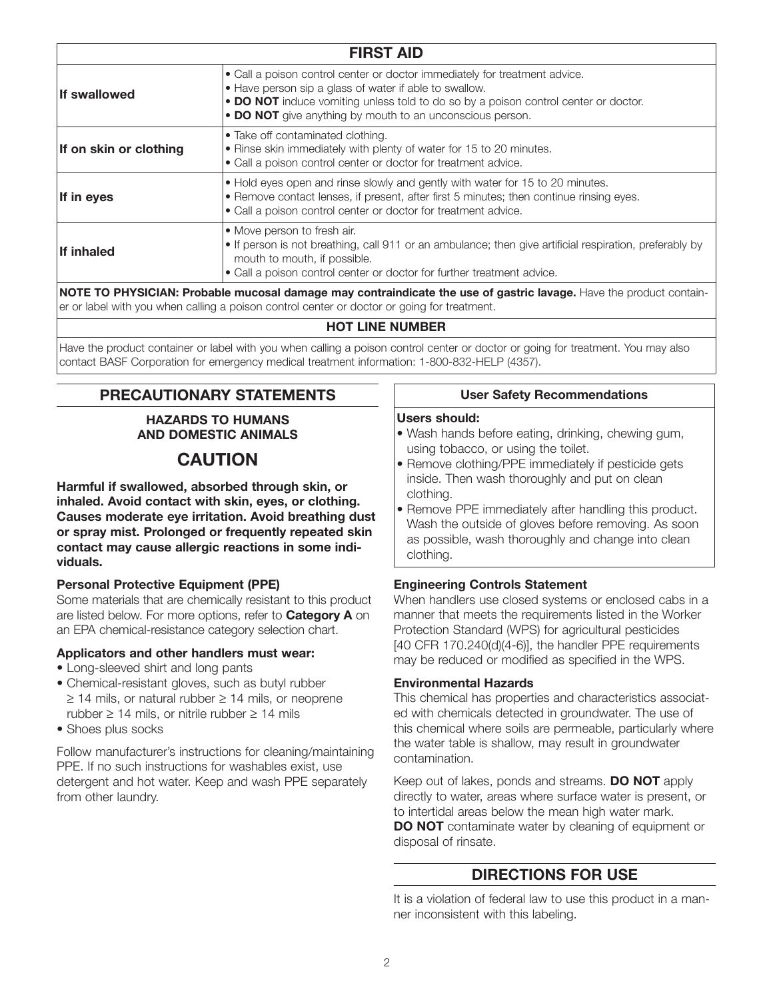| <b>FIRST AID</b>                                                                                                                                                                                                                                                                         |  |  |
|------------------------------------------------------------------------------------------------------------------------------------------------------------------------------------------------------------------------------------------------------------------------------------------|--|--|
| • Call a poison control center or doctor immediately for treatment advice.<br>• Have person sip a glass of water if able to swallow.<br>• DO NOT induce vomiting unless told to do so by a poison control center or doctor.<br>• DO NOT give anything by mouth to an unconscious person. |  |  |
| • Take off contaminated clothing.<br>. Rinse skin immediately with plenty of water for 15 to 20 minutes.<br>• Call a poison control center or doctor for treatment advice.                                                                                                               |  |  |
| • Hold eyes open and rinse slowly and gently with water for 15 to 20 minutes.<br>• Remove contact lenses, if present, after first 5 minutes; then continue rinsing eyes.<br>• Call a poison control center or doctor for treatment advice.                                               |  |  |
| • Move person to fresh air.<br>• If person is not breathing, call 911 or an ambulance; then give artificial respiration, preferably by<br>mouth to mouth, if possible.<br>• Call a poison control center or doctor for further treatment advice.                                         |  |  |
|                                                                                                                                                                                                                                                                                          |  |  |

**NOTE TO PHYSICIAN: Probable mucosal damage may contraindicate the use of gastric lavage.** Have the product container or label with you when calling a poison control center or doctor or going for treatment.

#### **HOT LINE NUMBER**

Have the product container or label with you when calling a poison control center or doctor or going for treatment. You may also contact BASF Corporation for emergency medical treatment information: 1-800-832-HELP (4357).

## **PRECAUTIONARY STATEMENTS**

#### **HAZARDS TO HUMANS AND DOMESTIC ANIMALS**

# **CAUTION**

**Harmful if swallowed, absorbed through skin, or inhaled. Avoid contact with skin, eyes, or clothing. Causes moderate eye irritation. Avoid breathing dust or spray mist. Prolonged or frequently repeated skin contact may cause allergic reactions in some individuals.**

### **Personal Protective Equipment (PPE)**

Some materials that are chemically resistant to this product are listed below. For more options, refer to **Category A** on an EPA chemical-resistance category selection chart.

### **Applicators and other handlers must wear:**

- Long-sleeved shirt and long pants
- Chemical-resistant gloves, such as butyl rubber ≥ 14 mils, or natural rubber ≥ 14 mils, or neoprene rubber  $\geq 14$  mils, or nitrile rubber  $\geq 14$  mils
- Shoes plus socks

Follow manufacturer's instructions for cleaning/maintaining PPE. If no such instructions for washables exist, use detergent and hot water. Keep and wash PPE separately from other laundry.

#### **User Safety Recommendations**

#### **Users should:**

- Wash hands before eating, drinking, chewing gum, using tobacco, or using the toilet.
- Remove clothing/PPE immediately if pesticide gets inside. Then wash thoroughly and put on clean clothing.
- Remove PPE immediately after handling this product. Wash the outside of gloves before removing. As soon as possible, wash thoroughly and change into clean clothing.

### **Engineering Controls Statement**

When handlers use closed systems or enclosed cabs in a manner that meets the requirements listed in the Worker Protection Standard (WPS) for agricultural pesticides [40 CFR 170.240(d)(4-6)], the handler PPE requirements may be reduced or modified as specified in the WPS.

### **Environmental Hazards**

This chemical has properties and characteristics associated with chemicals detected in groundwater. The use of this chemical where soils are permeable, particularly where the water table is shallow, may result in groundwater contamination.

Keep out of lakes, ponds and streams. **DO NOT** apply directly to water, areas where surface water is present, or to intertidal areas below the mean high water mark. **DO NOT** contaminate water by cleaning of equipment or disposal of rinsate.

### **DIRECTIONS FOR USE**

It is a violation of federal law to use this product in a manner inconsistent with this labeling.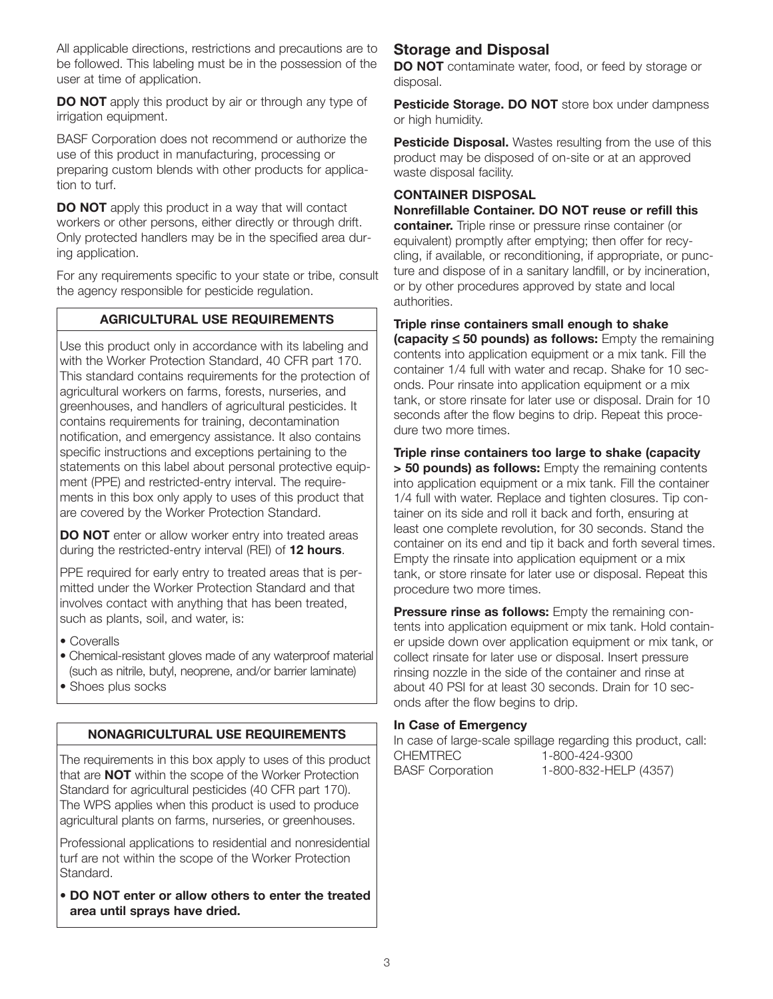All applicable directions, restrictions and precautions are to be followed. This labeling must be in the possession of the user at time of application.

**DO NOT** apply this product by air or through any type of irrigation equipment.

BASF Corporation does not recommend or authorize the use of this product in manufacturing, processing or preparing custom blends with other products for application to turf.

**DO NOT** apply this product in a way that will contact workers or other persons, either directly or through drift. Only protected handlers may be in the specified area during application.

For any requirements specific to your state or tribe, consult the agency responsible for pesticide regulation.

### **AGRICULTURAL USE REQUIREMENTS**

Use this product only in accordance with its labeling and with the Worker Protection Standard, 40 CFR part 170. This standard contains requirements for the protection of agricultural workers on farms, forests, nurseries, and greenhouses, and handlers of agricultural pesticides. It contains requirements for training, decontamination notification, and emergency assistance. It also contains specific instructions and exceptions pertaining to the statements on this label about personal protective equipment (PPE) and restricted-entry interval. The requirements in this box only apply to uses of this product that are covered by the Worker Protection Standard.

**DO NOT** enter or allow worker entry into treated areas during the restricted-entry interval (REI) of **12 hours**.

PPE required for early entry to treated areas that is permitted under the Worker Protection Standard and that involves contact with anything that has been treated, such as plants, soil, and water, is:

• Coveralls

• Chemical-resistant gloves made of any waterproof material (such as nitrile, butyl, neoprene, and/or barrier laminate) • Shoes plus socks

### **NONAGRICULTURAL USE REQUIREMENTS**

The requirements in this box apply to uses of this product that are **NOT** within the scope of the Worker Protection Standard for agricultural pesticides (40 CFR part 170). The WPS applies when this product is used to produce agricultural plants on farms, nurseries, or greenhouses.

Professional applications to residential and nonresidential turf are not within the scope of the Worker Protection Standard.

**• DO NOT enter or allow others to enter the treated area until sprays have dried.**

### **Storage and Disposal**

**DO NOT** contaminate water, food, or feed by storage or disposal.

**Pesticide Storage. DO NOT** store box under dampness or high humidity.

**Pesticide Disposal.** Wastes resulting from the use of this product may be disposed of on-site or at an approved waste disposal facility.

### **CONTAINER DISPOSAL**

**Nonrefillable Container. DO NOT reuse or refill this container.** Triple rinse or pressure rinse container (or equivalent) promptly after emptying; then offer for recycling, if available, or reconditioning, if appropriate, or puncture and dispose of in a sanitary landfill, or by incineration, or by other procedures approved by state and local authorities.

**Triple rinse containers small enough to shake (capacity** ≤ **50 pounds) as follows:** Empty the remaining contents into application equipment or a mix tank. Fill the container 1/4 full with water and recap. Shake for 10 seconds. Pour rinsate into application equipment or a mix tank, or store rinsate for later use or disposal. Drain for 10 seconds after the flow begins to drip. Repeat this procedure two more times.

**Triple rinse containers too large to shake (capacity > 50 pounds) as follows:** Empty the remaining contents into application equipment or a mix tank. Fill the container 1/4 full with water. Replace and tighten closures. Tip container on its side and roll it back and forth, ensuring at least one complete revolution, for 30 seconds. Stand the container on its end and tip it back and forth several times. Empty the rinsate into application equipment or a mix tank, or store rinsate for later use or disposal. Repeat this procedure two more times.

**Pressure rinse as follows:** Empty the remaining contents into application equipment or mix tank. Hold container upside down over application equipment or mix tank, or collect rinsate for later use or disposal. Insert pressure rinsing nozzle in the side of the container and rinse at about 40 PSI for at least 30 seconds. Drain for 10 seconds after the flow begins to drip.

### **In Case of Emergency**

In case of large-scale spillage regarding this product, call: CHEMTREC 1-800-424-9300 BASF Corporation 1-800-832-HELP (4357)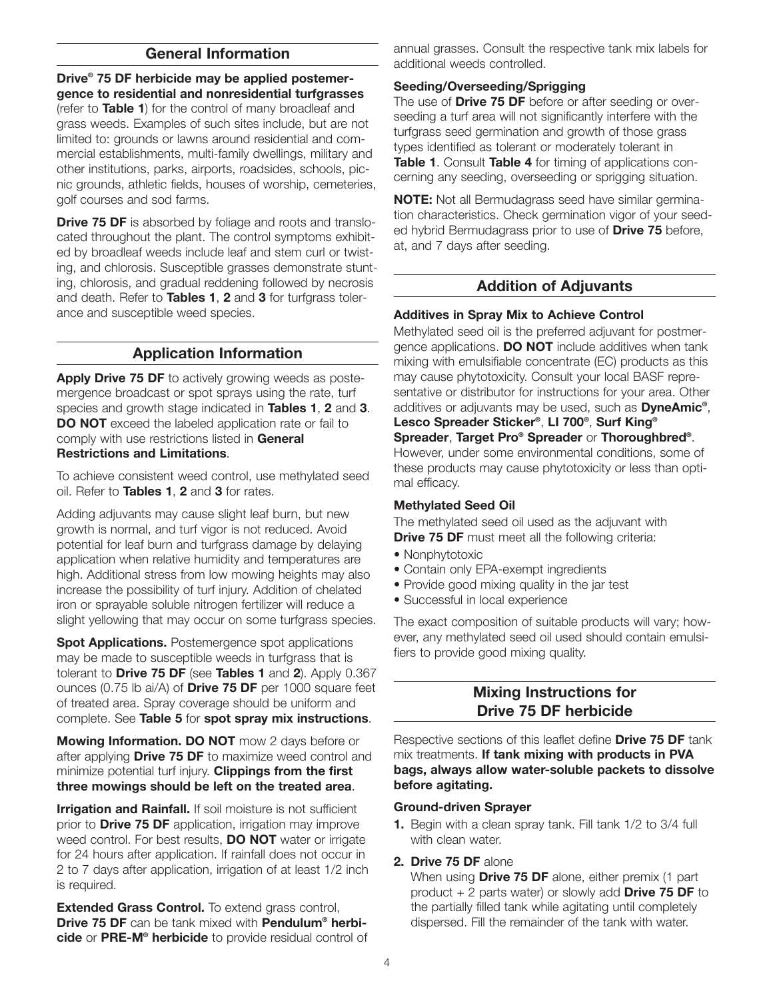### **General Information**

**Drive® 75 DF herbicide may be applied postemergence to residential and nonresidential turfgrasses** (refer to **Table 1**) for the control of many broadleaf and grass weeds. Examples of such sites include, but are not limited to: grounds or lawns around residential and commercial establishments, multi-family dwellings, military and other institutions, parks, airports, roadsides, schools, picnic grounds, athletic fields, houses of worship, cemeteries, golf courses and sod farms.

**Drive 75 DF** is absorbed by foliage and roots and translocated throughout the plant. The control symptoms exhibited by broadleaf weeds include leaf and stem curl or twisting, and chlorosis. Susceptible grasses demonstrate stunting, chlorosis, and gradual reddening followed by necrosis and death. Refer to **Tables 1**, **2** and **3** for turfgrass tolerance and susceptible weed species.

### **Application Information**

Apply Drive 75 DF to actively growing weeds as postemergence broadcast or spot sprays using the rate, turf species and growth stage indicated in **Tables 1**, **2** and **3**. **DO NOT** exceed the labeled application rate or fail to comply with use restrictions listed in **General Restrictions and Limitations**.

To achieve consistent weed control, use methylated seed oil. Refer to **Tables 1**, **2** and **3** for rates.

Adding adjuvants may cause slight leaf burn, but new growth is normal, and turf vigor is not reduced. Avoid potential for leaf burn and turfgrass damage by delaying application when relative humidity and temperatures are high. Additional stress from low mowing heights may also increase the possibility of turf injury. Addition of chelated iron or sprayable soluble nitrogen fertilizer will reduce a slight yellowing that may occur on some turfgrass species.

**Spot Applications.** Postemergence spot applications may be made to susceptible weeds in turfgrass that is tolerant to **Drive 75 DF** (see **Tables 1** and **2**). Apply 0.367 ounces (0.75 lb ai/A) of **Drive 75 DF** per 1000 square feet of treated area. Spray coverage should be uniform and complete. See **Table 5** for **spot spray mix instructions**.

**Mowing Information. DO NOT** mow 2 days before or after applying **Drive 75 DF** to maximize weed control and minimize potential turf injury. **Clippings from the first three mowings should be left on the treated area**.

**Irrigation and Rainfall.** If soil moisture is not sufficient prior to **Drive 75 DF** application, irrigation may improve weed control. For best results, **DO NOT** water or irrigate for 24 hours after application. If rainfall does not occur in 2 to 7 days after application, irrigation of at least 1/2 inch is required.

**Extended Grass Control.** To extend grass control, **Drive 75 DF** can be tank mixed with **Pendulum® herbicide** or **PRE-M® herbicide** to provide residual control of annual grasses. Consult the respective tank mix labels for additional weeds controlled.

### **Seeding/Overseeding/Sprigging**

The use of **Drive 75 DF** before or after seeding or overseeding a turf area will not significantly interfere with the turfgrass seed germination and growth of those grass types identified as tolerant or moderately tolerant in **Table 1**. Consult **Table 4** for timing of applications concerning any seeding, overseeding or sprigging situation.

**NOTE:** Not all Bermudagrass seed have similar germination characteristics. Check germination vigor of your seeded hybrid Bermudagrass prior to use of **Drive 75** before, at, and 7 days after seeding.

### **Addition of Adjuvants**

#### **Additives in Spray Mix to Achieve Control**

Methylated seed oil is the preferred adjuvant for postmergence applications. **DO NOT** include additives when tank mixing with emulsifiable concentrate (EC) products as this may cause phytotoxicity. Consult your local BASF representative or distributor for instructions for your area. Other additives or adjuvants may be used, such as **DyneAmic®**, **Lesco Spreader Sticker®**, **LI 700®**, **Surf King® Spreader**, **Target Pro® Spreader** or **Thoroughbred®**. However, under some environmental conditions, some of these products may cause phytotoxicity or less than optimal efficacy.

#### **Methylated Seed Oil**

The methylated seed oil used as the adjuvant with **Drive 75 DF** must meet all the following criteria:

- Nonphytotoxic
- Contain only EPA-exempt ingredients
- Provide good mixing quality in the jar test
- Successful in local experience

The exact composition of suitable products will vary; however, any methylated seed oil used should contain emulsifiers to provide good mixing quality.

### **Mixing Instructions for Drive 75 DF herbicide**

Respective sections of this leaflet define **Drive 75 DF** tank mix treatments. **If tank mixing with products in PVA bags, always allow water-soluble packets to dissolve before agitating.**

#### **Ground-driven Sprayer**

**1.** Begin with a clean spray tank. Fill tank 1/2 to 3/4 full with clean water.

### **2. Drive 75 DF** alone

When using **Drive 75 DF** alone, either premix (1 part product + 2 parts water) or slowly add **Drive 75 DF** to the partially filled tank while agitating until completely dispersed. Fill the remainder of the tank with water.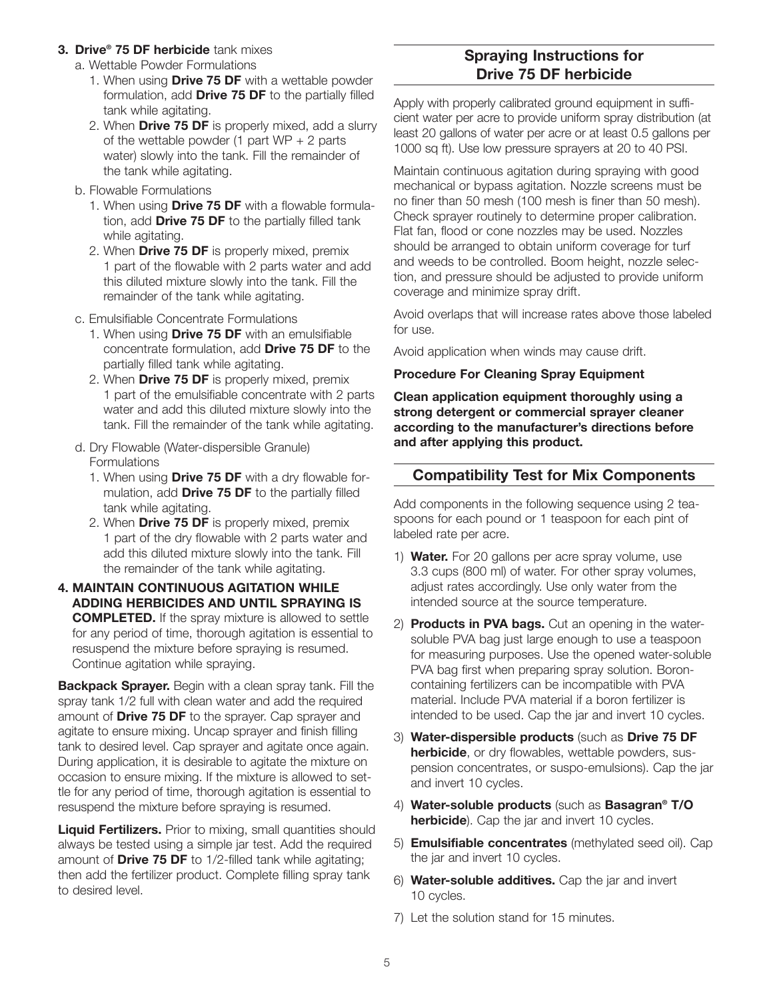#### **3. Drive® 75 DF herbicide** tank mixes

- a. Wettable Powder Formulations
	- 1. When using **Drive 75 DF** with a wettable powder formulation, add **Drive 75 DF** to the partially filled tank while agitating.
	- 2. When **Drive 75 DF** is properly mixed, add a slurry of the wettable powder (1 part  $WP + 2$  parts water) slowly into the tank. Fill the remainder of the tank while agitating.
- b. Flowable Formulations
	- 1. When using **Drive 75 DF** with a flowable formulation, add **Drive 75 DF** to the partially filled tank while agitating.
	- 2. When **Drive 75 DF** is properly mixed, premix 1 part of the flowable with 2 parts water and add this diluted mixture slowly into the tank. Fill the remainder of the tank while agitating.
- c. Emulsifiable Concentrate Formulations
	- 1. When using **Drive 75 DF** with an emulsifiable concentrate formulation, add **Drive 75 DF** to the partially filled tank while agitating.
	- 2. When **Drive 75 DF** is properly mixed, premix 1 part of the emulsifiable concentrate with 2 parts water and add this diluted mixture slowly into the tank. Fill the remainder of the tank while agitating.
- d. Dry Flowable (Water-dispersible Granule) Formulations
	- 1. When using **Drive 75 DF** with a dry flowable formulation, add **Drive 75 DF** to the partially filled tank while agitating.
	- 2. When **Drive 75 DF** is properly mixed, premix 1 part of the dry flowable with 2 parts water and add this diluted mixture slowly into the tank. Fill the remainder of the tank while agitating.
- **4. MAINTAIN CONTINUOUS AGITATION WHILE ADDING HERBICIDES AND UNTIL SPRAYING IS COMPLETED.** If the spray mixture is allowed to settle for any period of time, thorough agitation is essential to resuspend the mixture before spraying is resumed. Continue agitation while spraying.

**Backpack Sprayer.** Begin with a clean spray tank. Fill the spray tank 1/2 full with clean water and add the required amount of **Drive 75 DF** to the sprayer. Cap sprayer and agitate to ensure mixing. Uncap sprayer and finish filling tank to desired level. Cap sprayer and agitate once again. During application, it is desirable to agitate the mixture on occasion to ensure mixing. If the mixture is allowed to settle for any period of time, thorough agitation is essential to resuspend the mixture before spraying is resumed.

**Liquid Fertilizers.** Prior to mixing, small quantities should always be tested using a simple jar test. Add the required amount of **Drive 75 DF** to 1/2-filled tank while agitating; then add the fertilizer product. Complete filling spray tank to desired level.

### **Spraying Instructions for Drive 75 DF herbicide**

Apply with properly calibrated ground equipment in sufficient water per acre to provide uniform spray distribution (at least 20 gallons of water per acre or at least 0.5 gallons per 1000 sq ft). Use low pressure sprayers at 20 to 40 PSI.

Maintain continuous agitation during spraying with good mechanical or bypass agitation. Nozzle screens must be no finer than 50 mesh (100 mesh is finer than 50 mesh). Check sprayer routinely to determine proper calibration. Flat fan, flood or cone nozzles may be used. Nozzles should be arranged to obtain uniform coverage for turf and weeds to be controlled. Boom height, nozzle selection, and pressure should be adjusted to provide uniform coverage and minimize spray drift.

Avoid overlaps that will increase rates above those labeled for use.

Avoid application when winds may cause drift.

### **Procedure For Cleaning Spray Equipment**

**Clean application equipment thoroughly using a strong detergent or commercial sprayer cleaner according to the manufacturer's directions before and after applying this product.**

### **Compatibility Test for Mix Components**

Add components in the following sequence using 2 teaspoons for each pound or 1 teaspoon for each pint of labeled rate per acre.

- 1) **Water.** For 20 gallons per acre spray volume, use 3.3 cups (800 ml) of water. For other spray volumes, adjust rates accordingly. Use only water from the intended source at the source temperature.
- 2) **Products in PVA bags.** Cut an opening in the watersoluble PVA bag just large enough to use a teaspoon for measuring purposes. Use the opened water-soluble PVA bag first when preparing spray solution. Boroncontaining fertilizers can be incompatible with PVA material. Include PVA material if a boron fertilizer is intended to be used. Cap the jar and invert 10 cycles.
- 3) **Water-dispersible products** (such as **Drive 75 DF herbicide**, or dry flowables, wettable powders, suspension concentrates, or suspo-emulsions). Cap the jar and invert 10 cycles.
- 4) **Water-soluble products** (such as **Basagran® T/O herbicide**). Cap the jar and invert 10 cycles.
- 5) **Emulsifiable concentrates** (methylated seed oil). Cap the jar and invert 10 cycles.
- 6) **Water-soluble additives.** Cap the jar and invert 10 cycles.
- 7) Let the solution stand for 15 minutes.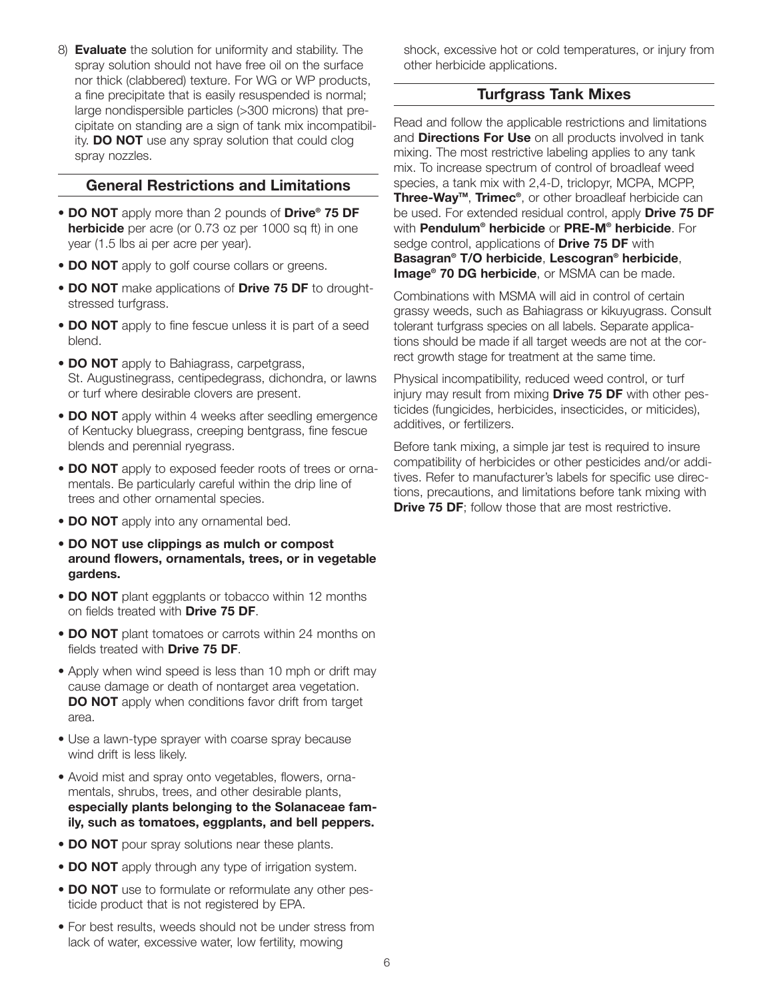8) **Evaluate** the solution for uniformity and stability. The spray solution should not have free oil on the surface nor thick (clabbered) texture. For WG or WP products, a fine precipitate that is easily resuspended is normal; large nondispersible particles (>300 microns) that precipitate on standing are a sign of tank mix incompatibility. **DO NOT** use any spray solution that could clog spray nozzles.

### **General Restrictions and Limitations**

- **DO NOT** apply more than 2 pounds of **Drive® 75 DF herbicide** per acre (or 0.73 oz per 1000 sq ft) in one year (1.5 lbs ai per acre per year).
- **DO NOT** apply to golf course collars or greens.
- **DO NOT** make applications of **Drive 75 DF** to droughtstressed turfgrass.
- **DO NOT** apply to fine fescue unless it is part of a seed blend.
- **DO NOT** apply to Bahiagrass, carpetgrass, St. Augustinegrass, centipedegrass, dichondra, or lawns or turf where desirable clovers are present.
- **DO NOT** apply within 4 weeks after seedling emergence of Kentucky bluegrass, creeping bentgrass, fine fescue blends and perennial ryegrass.
- **DO NOT** apply to exposed feeder roots of trees or ornamentals. Be particularly careful within the drip line of trees and other ornamental species.
- **DO NOT** apply into any ornamental bed.
- **DO NOT use clippings as mulch or compost around flowers, ornamentals, trees, or in vegetable gardens.**
- **DO NOT** plant eggplants or tobacco within 12 months on fields treated with **Drive 75 DF**.
- **DO NOT** plant tomatoes or carrots within 24 months on fields treated with **Drive 75 DF**.
- Apply when wind speed is less than 10 mph or drift may cause damage or death of nontarget area vegetation. **DO NOT** apply when conditions favor drift from target area.
- Use a lawn-type sprayer with coarse spray because wind drift is less likely.
- Avoid mist and spray onto vegetables, flowers, ornamentals, shrubs, trees, and other desirable plants, **especially plants belonging to the Solanaceae family, such as tomatoes, eggplants, and bell peppers.**
- **DO NOT** pour spray solutions near these plants.
- **DO NOT** apply through any type of irrigation system.
- **DO NOT** use to formulate or reformulate any other pesticide product that is not registered by EPA.
- For best results, weeds should not be under stress from lack of water, excessive water, low fertility, mowing

shock, excessive hot or cold temperatures, or injury from other herbicide applications.

### **Turfgrass Tank Mixes**

Read and follow the applicable restrictions and limitations and **Directions For Use** on all products involved in tank mixing. The most restrictive labeling applies to any tank mix. To increase spectrum of control of broadleaf weed species, a tank mix with 2,4-D, triclopyr, MCPA, MCPP, **Three-WayTM**, **Trimec®**, or other broadleaf herbicide can be used. For extended residual control, apply **Drive 75 DF** with **Pendulum® herbicide** or **PRE-M® herbicide**. For sedge control, applications of **Drive 75 DF** with **Basagran® T/O herbicide**, **Lescogran® herbicide**, **Image® 70 DG herbicide**, or MSMA can be made.

Combinations with MSMA will aid in control of certain grassy weeds, such as Bahiagrass or kikuyugrass. Consult tolerant turfgrass species on all labels. Separate applications should be made if all target weeds are not at the correct growth stage for treatment at the same time.

Physical incompatibility, reduced weed control, or turf injury may result from mixing **Drive 75 DF** with other pesticides (fungicides, herbicides, insecticides, or miticides), additives, or fertilizers.

Before tank mixing, a simple jar test is required to insure compatibility of herbicides or other pesticides and/or additives. Refer to manufacturer's labels for specific use directions, precautions, and limitations before tank mixing with **Drive 75 DF**; follow those that are most restrictive.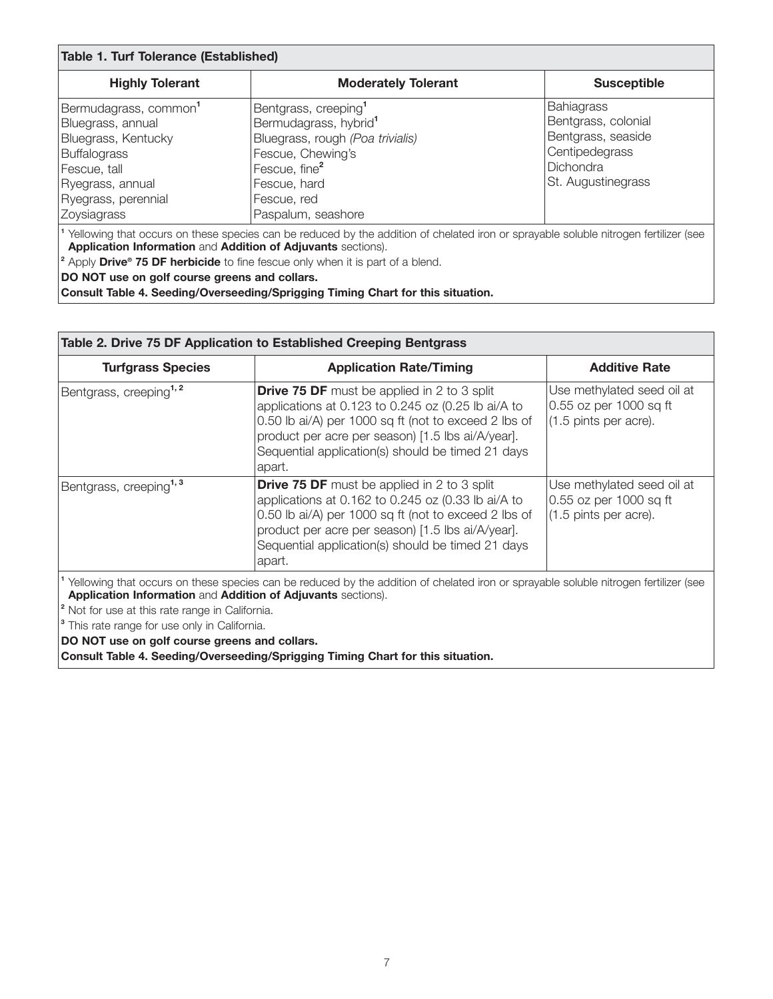| <b>Table 1. Turf Tolerance (Established)</b>                                                                                                                                                                                                                                                                                                                   |                                                                                                                                                                                                                  |                                                                                                                     |  |
|----------------------------------------------------------------------------------------------------------------------------------------------------------------------------------------------------------------------------------------------------------------------------------------------------------------------------------------------------------------|------------------------------------------------------------------------------------------------------------------------------------------------------------------------------------------------------------------|---------------------------------------------------------------------------------------------------------------------|--|
| <b>Highly Tolerant</b>                                                                                                                                                                                                                                                                                                                                         | <b>Moderately Tolerant</b>                                                                                                                                                                                       | <b>Susceptible</b>                                                                                                  |  |
| Bermudagrass, common <sup>1</sup><br>Bluegrass, annual<br>Bluegrass, Kentucky<br><b>Buffalograss</b><br>Fescue, tall<br>Ryegrass, annual<br>Ryegrass, perennial<br>Zoysiagrass                                                                                                                                                                                 | Bentgrass, creeping <sup>1</sup><br>Bermudagrass, hybrid <sup>1</sup><br>Bluegrass, rough (Poa trivialis)<br>Fescue, Chewing's<br>Fescue, fine <sup>2</sup><br>Fescue, hard<br>Fescue, red<br>Paspalum, seashore | Bahiagrass<br>Bentgrass, colonial<br>Bentgrass, seaside<br>Centipedegrass<br><b>Dichondra</b><br>St. Augustinegrass |  |
| Yellowing that occurs on these species can be reduced by the addition of chelated iron or sprayable soluble nitrogen fertilizer (see<br>Application Information and Addition of Adjuvants sections).<br><sup>2</sup> Apply Drive <sup>®</sup> 75 DF herbicide to fine fescue only when it is part of a blend.<br>DO NOT use on golf course greens and collars. |                                                                                                                                                                                                                  |                                                                                                                     |  |

**Consult Table 4. Seeding/Overseeding/Sprigging Timing Chart for this situation.**

| Table 2. Drive 75 DF Application to Established Creeping Bentgrass                                                                                                                                                                                                                                                                                                                                                                                                 |                                                                                                                                                                                                                                                                                      |                                                                               |  |
|--------------------------------------------------------------------------------------------------------------------------------------------------------------------------------------------------------------------------------------------------------------------------------------------------------------------------------------------------------------------------------------------------------------------------------------------------------------------|--------------------------------------------------------------------------------------------------------------------------------------------------------------------------------------------------------------------------------------------------------------------------------------|-------------------------------------------------------------------------------|--|
| <b>Turfgrass Species</b>                                                                                                                                                                                                                                                                                                                                                                                                                                           | <b>Application Rate/Timing</b>                                                                                                                                                                                                                                                       | <b>Additive Rate</b>                                                          |  |
| Bentgrass, creeping <sup>1,2</sup>                                                                                                                                                                                                                                                                                                                                                                                                                                 | <b>Drive 75 DF</b> must be applied in 2 to 3 split<br>applications at 0.123 to 0.245 oz (0.25 lb ai/A to<br>0.50 lb ai/A) per 1000 sq ft (not to exceed 2 lbs of<br>product per acre per season) [1.5 lbs ai/A/year].<br>Sequential application(s) should be timed 21 days<br>apart. | Use methylated seed oil at<br>0.55 oz per 1000 sq ft<br>(1.5 pints per acre). |  |
| Bentgrass, creeping <sup>1, 3</sup>                                                                                                                                                                                                                                                                                                                                                                                                                                | <b>Drive 75 DF</b> must be applied in 2 to 3 split<br>applications at 0.162 to 0.245 oz (0.33 lb ai/A to<br>0.50 lb ai/A) per 1000 sq ft (not to exceed 2 lbs of<br>product per acre per season) [1.5 lbs ai/A/year].<br>Sequential application(s) should be timed 21 days<br>apart. | Use methylated seed oil at<br>0.55 oz per 1000 sq ft<br>(1.5 pints per acre). |  |
| Yellowing that occurs on these species can be reduced by the addition of chelated iron or sprayable soluble nitrogen fertilizer (see<br>Application Information and Addition of Adjuvants sections).<br><sup>2</sup> Not for use at this rate range in California.<br><sup>3</sup> This rate range for use only in California.<br>DO NOT use on golf course greens and collars.<br>Consult Table 4. Seeding/Overseeding/Sprigging Timing Chart for this situation. |                                                                                                                                                                                                                                                                                      |                                                                               |  |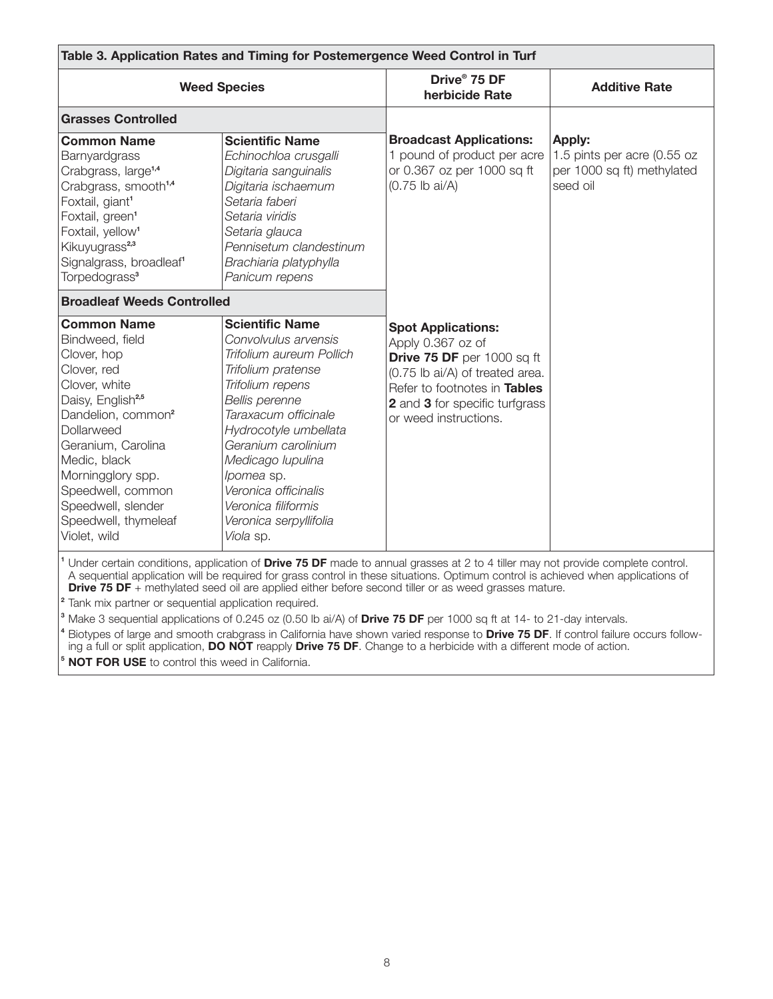| Table 3. Application Rates and Timing for Postemergence Weed Control in Turf                                                                                                                                                                                                                                                                                                                           |                                                                                                                                                                                                                                                                                                                                         |                                                                                                                                                                                                            |                                                                                        |
|--------------------------------------------------------------------------------------------------------------------------------------------------------------------------------------------------------------------------------------------------------------------------------------------------------------------------------------------------------------------------------------------------------|-----------------------------------------------------------------------------------------------------------------------------------------------------------------------------------------------------------------------------------------------------------------------------------------------------------------------------------------|------------------------------------------------------------------------------------------------------------------------------------------------------------------------------------------------------------|----------------------------------------------------------------------------------------|
| <b>Weed Species</b>                                                                                                                                                                                                                                                                                                                                                                                    |                                                                                                                                                                                                                                                                                                                                         | Drive <sup>®</sup> 75 DF<br>herbicide Rate                                                                                                                                                                 | <b>Additive Rate</b>                                                                   |
| <b>Grasses Controlled</b>                                                                                                                                                                                                                                                                                                                                                                              |                                                                                                                                                                                                                                                                                                                                         |                                                                                                                                                                                                            |                                                                                        |
| <b>Common Name</b><br>Barnyardgrass<br>Crabgrass, large <sup>1,4</sup><br>Crabgrass, smooth <sup>1,4</sup><br>Foxtail, giant <sup>1</sup><br>Foxtail, green <sup>1</sup><br>Foxtail, yellow <sup>1</sup><br>Kikuyugrass <sup>2,3</sup><br>Signalgrass, broadleaf <sup>1</sup><br>Torpedograss <sup>3</sup>                                                                                             | <b>Scientific Name</b><br>Echinochloa crusgalli<br>Digitaria sanguinalis<br>Digitaria ischaemum<br>Setaria faberi<br>Setaria viridis<br>Setaria glauca<br>Pennisetum clandestinum<br>Brachiaria platyphylla<br>Panicum repens                                                                                                           | <b>Broadcast Applications:</b><br>1 pound of product per acre<br>or 0.367 oz per 1000 sq ft<br>$(0.75$ lb ai/A)                                                                                            | <b>Apply:</b><br>1.5 pints per acre (0.55 oz<br>per 1000 sq ft) methylated<br>seed oil |
| <b>Broadleaf Weeds Controlled</b>                                                                                                                                                                                                                                                                                                                                                                      |                                                                                                                                                                                                                                                                                                                                         |                                                                                                                                                                                                            |                                                                                        |
| <b>Common Name</b><br>Bindweed, field<br>Clover, hop<br>Clover, red<br>Clover, white<br>Daisy, English <sup>2,5</sup><br>Dandelion, common <sup>2</sup><br>Dollarweed<br>Geranium, Carolina<br>Medic, black<br>Morningglory spp.<br>Speedwell, common<br>Speedwell, slender<br>Speedwell, thymeleaf<br>Violet, wild                                                                                    | <b>Scientific Name</b><br>Convolvulus arvensis<br>Trifolium aureum Pollich<br>Trifolium pratense<br>Trifolium repens<br>Bellis perenne<br>Taraxacum officinale<br>Hydrocotyle umbellata<br>Geranium carolinium<br>Medicago Iupulina<br>lpomea sp.<br>Veronica officinalis<br>Veronica filiformis<br>Veronica serpyllifolia<br>Viola sp. | <b>Spot Applications:</b><br>Apply 0.367 oz of<br>Drive 75 DF per 1000 sq ft<br>(0.75 lb ai/A) of treated area.<br>Refer to footnotes in Tables<br>2 and 3 for specific turfgrass<br>or weed instructions. |                                                                                        |
| <sup>1</sup> Under certain conditions, application of <b>Drive 75 DF</b> made to annual grasses at 2 to 4 tiller may not provide complete control.<br>A sequential application will be required for grass control in these situations. Optimum control is achieved when applications of<br><b>Drive 75 DF</b> + methylated seed oil are applied either before second tiller or as weed grasses mature. |                                                                                                                                                                                                                                                                                                                                         |                                                                                                                                                                                                            |                                                                                        |

**<sup>2</sup>** Tank mix partner or sequential application required.

**<sup>3</sup>** Make 3 sequential applications of 0.245 oz (0.50 lb ai/A) of **Drive 75 DF** per 1000 sq ft at 14- to 21-day intervals.

**<sup>4</sup>** Biotypes of large and smooth crabgrass in California have shown varied response to **Drive 75 DF**. If control failure occurs following a full or split application, **DO NOT** reapply **Drive 75 DF**. Change to a herbicide with a different mode of action.

**<sup>5</sup> NOT FOR USE** to control this weed in California.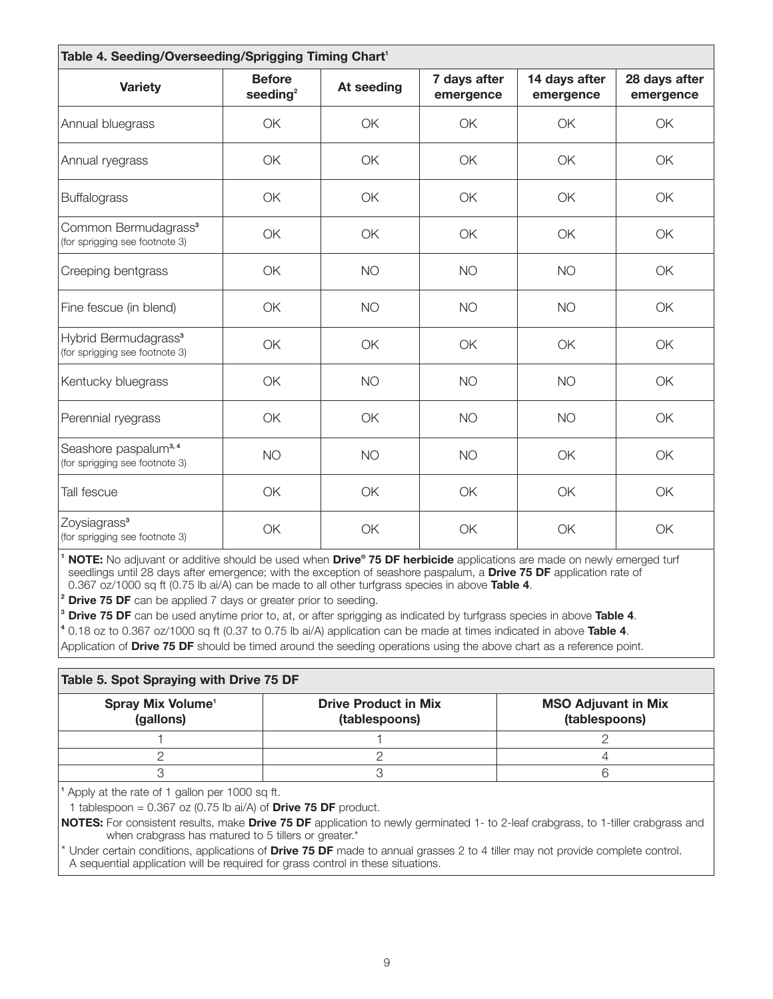| Table 4. Seeding/Overseeding/Sprigging Timing Chart <sup>1</sup>   |                              |            |                           |                            |                            |
|--------------------------------------------------------------------|------------------------------|------------|---------------------------|----------------------------|----------------------------|
| <b>Variety</b>                                                     | <b>Before</b><br>seeding $2$ | At seeding | 7 days after<br>emergence | 14 days after<br>emergence | 28 days after<br>emergence |
| Annual bluegrass                                                   | <b>OK</b>                    | <b>OK</b>  | OK                        | OK                         | <b>OK</b>                  |
| Annual ryegrass                                                    | OK                           | OK         | OK                        | OK                         | OK                         |
| <b>Buffalograss</b>                                                | OK                           | OK         | OK                        | OK                         | OK                         |
| Common Bermudagrass <sup>3</sup><br>(for sprigging see footnote 3) | OK                           | OK         | OK                        | OK                         | OK                         |
| Creeping bentgrass                                                 | OK                           | <b>NO</b>  | <b>NO</b>                 | <b>NO</b>                  | OK                         |
| Fine fescue (in blend)                                             | OK                           | <b>NO</b>  | <b>NO</b>                 | <b>NO</b>                  | OK                         |
| Hybrid Bermudagrass <sup>3</sup><br>(for sprigging see footnote 3) | OK                           | OK         | OK                        | OK                         | OK                         |
| Kentucky bluegrass                                                 | OK                           | <b>NO</b>  | <b>NO</b>                 | <b>NO</b>                  | OK                         |
| Perennial ryegrass                                                 | OK                           | OK         | <b>NO</b>                 | <b>NO</b>                  | <b>OK</b>                  |
| Seashore paspalum <sup>3,4</sup><br>(for sprigging see footnote 3) | <b>NO</b>                    | <b>NO</b>  | <b>NO</b>                 | OK                         | OK                         |
| Tall fescue                                                        | OK                           | OK         | OK                        | OK                         | OK                         |
| Zoysiagrass <sup>3</sup><br>(for sprigging see footnote 3)         | OK                           | OK         | OK                        | OK                         | OK                         |

**<sup>1</sup> NOTE:** No adjuvant or additive should be used when **Drive® 75 DF herbicide** applications are made on newly emerged turf seedlings until 28 days after emergence; with the exception of seashore paspalum, a **Drive 75 DF** application rate of 0.367 oz/1000 sq ft (0.75 lb ai/A) can be made to all other turfgrass species in above **Table 4**.

**Drive 75 DF** can be applied 7 days or greater prior to seeding.

**<sup>3</sup> Drive 75 DF** can be used anytime prior to, at, or after sprigging as indicated by turfgrass species in above **Table 4**.

**<sup>4</sup>** 0.18 oz to 0.367 oz/1000 sq ft (0.37 to 0.75 lb ai/A) application can be made at times indicated in above **Table 4**.

Application of **Drive 75 DF** should be timed around the seeding operations using the above chart as a reference point.

| Table 5. Spot Spraying with Drive 75 DF    |                                              |                                             |  |
|--------------------------------------------|----------------------------------------------|---------------------------------------------|--|
| Spray Mix Volume <sup>1</sup><br>(gallons) | <b>Drive Product in Mix</b><br>(tablespoons) | <b>MSO Adjuvant in Mix</b><br>(tablespoons) |  |
|                                            |                                              |                                             |  |
|                                            |                                              |                                             |  |
|                                            |                                              |                                             |  |

**<sup>1</sup>** Apply at the rate of 1 gallon per 1000 sq ft.

1 tablespoon = 0.367 oz (0.75 lb ai/A) of **Drive 75 DF** product.

**NOTES:** For consistent results, make **Drive 75 DF** application to newly germinated 1- to 2-leaf crabgrass, to 1-tiller crabgrass and when crabgrass has matured to 5 tillers or greater.<sup>\*</sup>

Under certain conditions, applications of **Drive 75 DF** made to annual grasses 2 to 4 tiller may not provide complete control. A sequential application will be required for grass control in these situations.